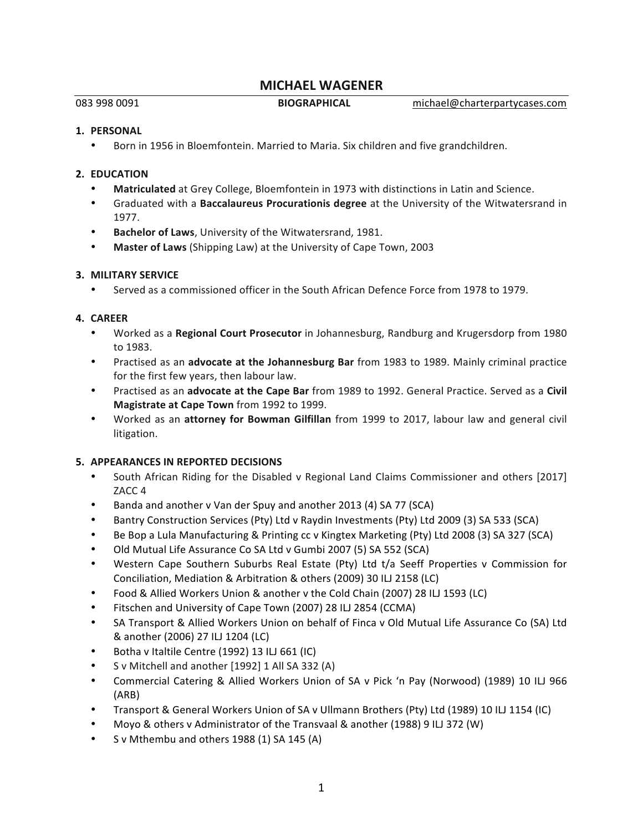# **MICHAEL WAGENER**

083 998 0091 **BIOGRAPHICAL** michael@charterpartycases.com 

#### 1. **PERSONAL**

Born in 1956 in Bloemfontein. Married to Maria. Six children and five grandchildren.

### **2. EDUCATION**

- **Matriculated** at Grey College, Bloemfontein in 1973 with distinctions in Latin and Science.
- Graduated with a **Baccalaureus Procurationis degree** at the University of the Witwatersrand in 1977.
- **Bachelor of Laws**, University of the Witwatersrand, 1981.
- **Master of Laws** (Shipping Law) at the University of Cape Town, 2003

### **3. MILITARY SERVICE**

Served as a commissioned officer in the South African Defence Force from 1978 to 1979.

## **4. CAREER**

- Worked as a **Regional Court Prosecutor** in Johannesburg, Randburg and Krugersdorp from 1980 to 1983.
- Practised as an **advocate at the Johannesburg Bar** from 1983 to 1989. Mainly criminal practice for the first few years, then labour law.
- Practised as an advocate at the Cape Bar from 1989 to 1992. General Practice. Served as a Civil **Magistrate at Cape Town** from 1992 to 1999.
- Worked as an attorney for Bowman Gilfillan from 1999 to 2017, labour law and general civil litigation.

### **5. APPEARANCES IN REPORTED DECISIONS**

- South African Riding for the Disabled v Regional Land Claims Commissioner and others [2017] ZACC<sub>4</sub>
- Banda and another v Van der Spuy and another 2013 (4) SA 77 (SCA)
- Bantry Construction Services (Pty) Ltd v Raydin Investments (Pty) Ltd 2009 (3) SA 533 (SCA)
- Be Bop a Lula Manufacturing & Printing cc v Kingtex Marketing (Pty) Ltd 2008 (3) SA 327 (SCA)
- Old Mutual Life Assurance Co SA Ltd v Gumbi 2007 (5) SA 552 (SCA)
- Western Cape Southern Suburbs Real Estate (Pty) Ltd t/a Seeff Properties v Commission for Conciliation, Mediation & Arbitration & others (2009) 30 ILJ 2158 (LC)
- Food & Allied Workers Union & another v the Cold Chain (2007) 28 ILJ 1593 (LC)
- Fitschen and University of Cape Town (2007) 28 ILJ 2854 (CCMA)
- SA Transport & Allied Workers Union on behalf of Finca v Old Mutual Life Assurance Co (SA) Ltd & another (2006) 27 ILJ 1204 (LC)
- Botha v Italtile Centre (1992) 13 ILJ 661 (IC)
- S v Mitchell and another [1992] 1 All SA 332 (A)
- Commercial Catering & Allied Workers Union of SA v Pick 'n Pay (Norwood) (1989) 10 ILJ 966 (ARB)
- Transport & General Workers Union of SA v Ullmann Brothers (Pty) Ltd (1989) 10 ILJ 1154 (IC)
- Moyo & others v Administrator of the Transvaal & another (1988) 9 ILJ 372 (W)
- S v Mthembu and others  $1988$  (1) SA  $145$  (A)